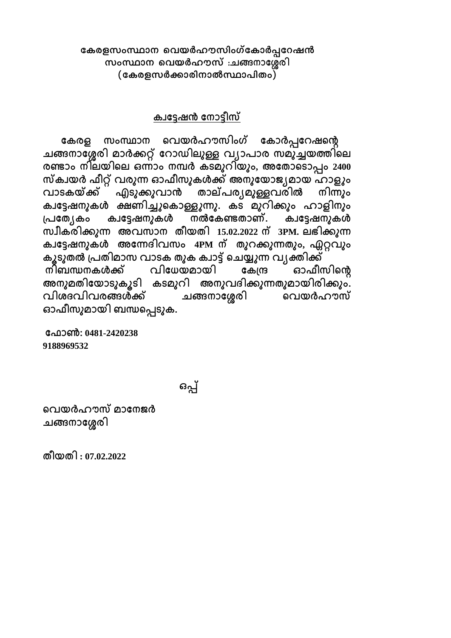$\alpha$ കരളസംസ്ഥാന വെയർഹൗസിംഗ്കോർപ്പറേഷൻ  $k$ **woസ്ഥാന വെയർഹൗസ് :ചങ്ങനാ**ശ്ശേരി (കേരളസർക്കാരിനാൽസ്ഥാപിതം)

## ക്വട്ടേഷൻ നോടീസ്

കേരള സംസ്ഥാന വെയർഹൗസിംഗ് കോർപ്പറേഷന്റെ ചങ്ങനാശ്ശേരി മാർക്കറ്റ് റോഡിലൂള്ള വ്യാപാര സമുച്ചയത്തിലെ **രണ്ഺം ന഻ലയ഻വല ഒന്ഺം നമ്പർ ക്ടമഽറ഻യഽം, അശ്ശ ഺവടഺപ്പം 2400**  സ്ക്വയർ ഫീറ്റ് വരുന്ന ഓഫീസുകൾക്ക് അനുയോജ്യമായ ഹാളും വാടകയ്ക്ക് എടു്കുവാൻ താല്പര്യമുള്ളവരിൽ നിന്നും ക്വട്ടേഷനുകൾ ക്ഷണിച്ചുകൊള്ളുന്നു. കട മുറിക്കും ഹാളിനും പ്രത്യേകം ക്വട്ടേഷനുകൾ നൽകേണ്ടതാണ്. ക്വട്ടേഷനുകൾ **സവ഼ക്ര഻ക്കഽന് അെസഺന ഼യ ഻ 15.02.2022 ന് 3PM. ലഭ഻ക്കഽന്**  ക്വട്ടേഷനുക്ൾ അന്നേദിവസം 4PM ന് തുറക്കുന്നതും, ഏറ്റവും കൂടുതൽ പ്രതിമാസ വാടക തുക ക്വാട്ട് ചെയ്യുന്ന വ്യക്തിക്ക്<br>തിബന്ധനകൾക്ക് വിധേയമായി കേന്ദ്ര ഓഫീറ നിബന്ധനകൾക്ക് വിധേയമായി കേന്ദ്ര ഓഫീസിന്റെ<br>അനുമതിയോടുകൂടി കടമുറി അനുവദിക്കുന്നതുമായിരിക്കും. കടമുറി അനുവദിക്കുന്നതുമായിരിക്കും.<br>്മങ്ങനാശേരി വെയർഹൗസ് പിശദവിവരങ്ങൾക്ക് ചങ്ങനാശ്ശേരി ഓഫീസുമായി ബന്ധപ്പെടുക.

**ശ്ശഫഺൺ: 0481-2420238 9188969532**

**ഒപ്പ്**

**വെയർഹൗസ് മഺശ്ശനജ്ർ** ചങ്ങനാശ്ശേരി

 **഼യ ഻ : 07.02.2022**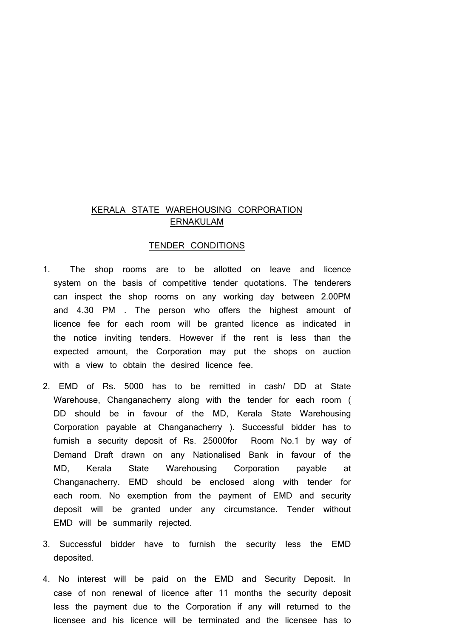### KERALA STATE WAREHOUSING CORPORATION ERNAKULAM

### TENDER CONDITIONS

- 1. The shop rooms are to be allotted on leave and licence system on the basis of competitive tender quotations. The tenderers can inspect the shop rooms on any working day between 2.00PM and 4.30 PM . The person who offers the highest amount of licence fee for each room will be granted licence as indicated in the notice inviting tenders. However if the rent is less than the expected amount, the Corporation may put the shops on auction with a view to obtain the desired licence fee.
- 2. EMD of Rs. 5000 has to be remitted in cash/ DD at State Warehouse, Changanacherry along with the tender for each room ( DD should be in favour of the MD, Kerala State Warehousing Corporation payable at Changanacherry ). Successful bidder has to furnish a security deposit of Rs. 25000for Room No.1 by way of Demand Draft drawn on any Nationalised Bank in favour of the MD, Kerala State Warehousing Corporation payable at Changanacherry. EMD should be enclosed along with tender for each room. No exemption from the payment of EMD and security deposit will be granted under any circumstance. Tender without EMD will be summarily rejected.
- 3. Successful bidder have to furnish the security less the EMD deposited.
- 4. No interest will be paid on the EMD and Security Deposit. In case of non renewal of licence after 11 months the security deposit less the payment due to the Corporation if any will returned to the licensee and his licence will be terminated and the licensee has to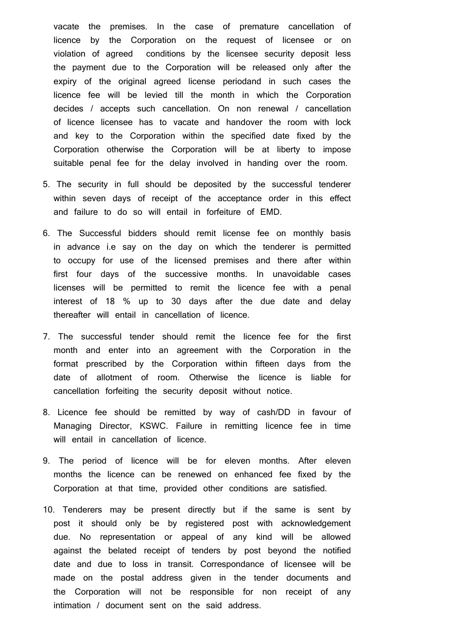vacate the premises. In the case of premature cancellation of licence by the Corporation on the request of licensee or on violation of agreed conditions by the licensee security deposit less the payment due to the Corporation will be released only after the expiry of the original agreed license periodand in such cases the licence fee will be levied till the month in which the Corporation decides / accepts such cancellation. On non renewal / cancellation of licence licensee has to vacate and handover the room with lock and key to the Corporation within the specified date fixed by the Corporation otherwise the Corporation will be at liberty to impose suitable penal fee for the delay involved in handing over the room.

- 5. The security in full should be deposited by the successful tenderer within seven days of receipt of the acceptance order in this effect and failure to do so will entail in forfeiture of EMD.
- 6. The Successful bidders should remit license fee on monthly basis in advance i.e say on the day on which the tenderer is permitted to occupy for use of the licensed premises and there after within first four days of the successive months. In unavoidable cases licenses will be permitted to remit the licence fee with a penal interest of 18 % up to 30 days after the due date and delay thereafter will entail in cancellation of licence.
- 7. The successful tender should remit the licence fee for the first month and enter into an agreement with the Corporation in the format prescribed by the Corporation within fifteen days from the date of allotment of room. Otherwise the licence is liable for cancellation forfeiting the security deposit without notice.
- 8. Licence fee should be remitted by way of cash/DD in favour of Managing Director, KSWC. Failure in remitting licence fee in time will entail in cancellation of licence.
- 9. The period of licence will be for eleven months. After eleven months the licence can be renewed on enhanced fee fixed by the Corporation at that time, provided other conditions are satisfied.
- 10. Tenderers may be present directly but if the same is sent by post it should only be by registered post with acknowledgement due. No representation or appeal of any kind will be allowed against the belated receipt of tenders by post beyond the notified date and due to loss in transit. Correspondance of licensee will be made on the postal address given in the tender documents and the Corporation will not be responsible for non receipt of any intimation / document sent on the said address.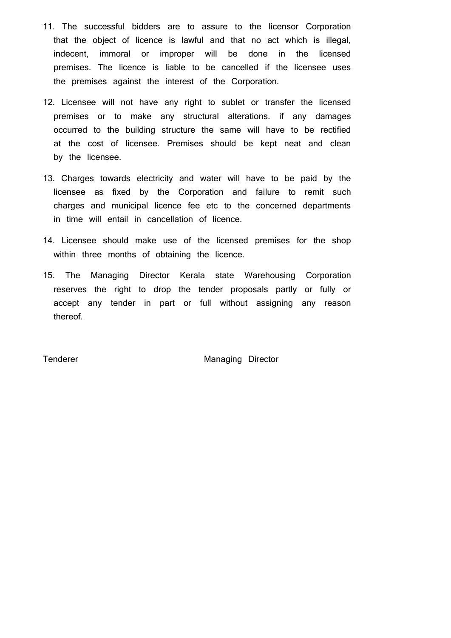- 11. The successful bidders are to assure to the licensor Corporation that the object of licence is lawful and that no act which is illegal, indecent, immoral or improper will be done in the licensed premises. The licence is liable to be cancelled if the licensee uses the premises against the interest of the Corporation.
- 12. Licensee will not have any right to sublet or transfer the licensed premises or to make any structural alterations. if any damages occurred to the building structure the same will have to be rectified at the cost of licensee. Premises should be kept neat and clean by the licensee.
- 13. Charges towards electricity and water will have to be paid by the licensee as fixed by the Corporation and failure to remit such charges and municipal licence fee etc to the concerned departments in time will entail in cancellation of licence.
- 14. Licensee should make use of the licensed premises for the shop within three months of obtaining the licence.
- 15. The Managing Director Kerala state Warehousing Corporation reserves the right to drop the tender proposals partly or fully or accept any tender in part or full without assigning any reason thereof.

Tenderer Managing Director